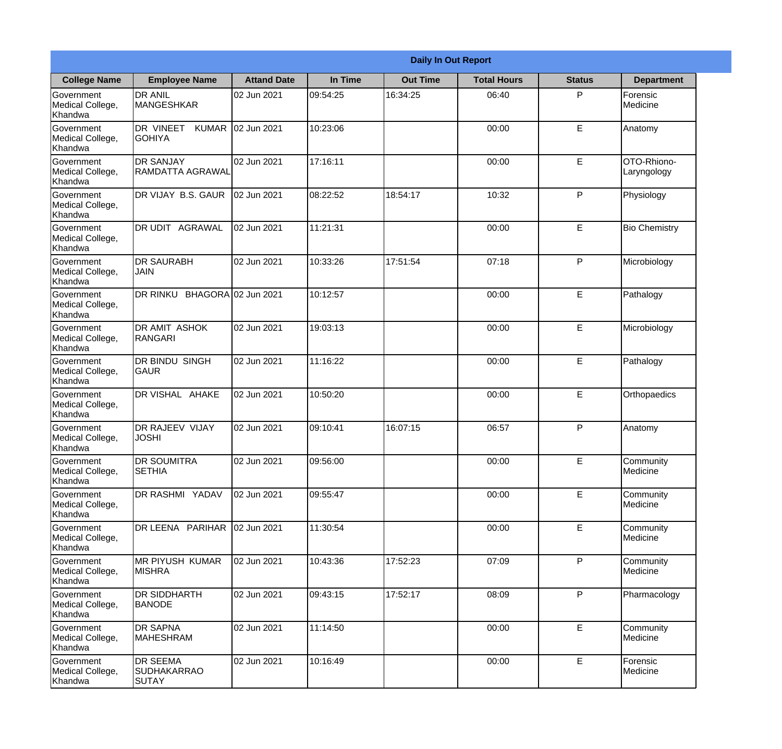|                                           | <b>Daily In Out Report</b>                     |                     |          |                 |                    |               |                            |  |
|-------------------------------------------|------------------------------------------------|---------------------|----------|-----------------|--------------------|---------------|----------------------------|--|
| <b>College Name</b>                       | <b>Employee Name</b>                           | <b>Attand Date</b>  | In Time  | <b>Out Time</b> | <b>Total Hours</b> | <b>Status</b> | <b>Department</b>          |  |
| Government<br>Medical College,<br>Khandwa | <b>DR ANIL</b><br><b>MANGESHKAR</b>            | 02 Jun 2021         | 09:54:25 | 16:34:25        | 06:40              | P             | Forensic<br>Medicine       |  |
| Government<br>Medical College,<br>Khandwa | DR VINEET<br><b>KUMAR</b><br><b>GOHIYA</b>     | 02 Jun 2021         | 10:23:06 |                 | 00:00              | E             | Anatomy                    |  |
| Government<br>Medical College,<br>Khandwa | <b>DR SANJAY</b><br><b>RAMDATTA AGRAWAL</b>    | 02 Jun 2021         | 17:16:11 |                 | 00:00              | E             | OTO-Rhiono-<br>Laryngology |  |
| Government<br>Medical College,<br>Khandwa | DR VIJAY B.S. GAUR                             | 02 Jun 2021         | 08:22:52 | 18:54:17        | 10:32              | P             | Physiology                 |  |
| Government<br>Medical College,<br>Khandwa | <b>AGRAWAL</b><br>DR UDIT                      | 02 Jun 2021         | 11:21:31 |                 | 00:00              | E             | <b>Bio Chemistry</b>       |  |
| Government<br>Medical College,<br>Khandwa | <b>DR SAURABH</b><br><b>JAIN</b>               | 02 Jun 2021         | 10:33:26 | 17:51:54        | 07:18              | P             | Microbiology               |  |
| Government<br>Medical College,<br>Khandwa | DR RINKU                                       | BHAGORA 02 Jun 2021 | 10:12:57 |                 | 00:00              | E             | Pathalogy                  |  |
| Government<br>Medical College,<br>Khandwa | <b>DR AMIT ASHOK</b><br>RANGARI                | 02 Jun 2021         | 19:03:13 |                 | 00:00              | E             | Microbiology               |  |
| Government<br>Medical College,<br>Khandwa | <b>DR BINDU SINGH</b><br><b>GAUR</b>           | 02 Jun 2021         | 11:16:22 |                 | 00:00              | E             | Pathalogy                  |  |
| Government<br>Medical College,<br>Khandwa | DR VISHAL AHAKE                                | 02 Jun 2021         | 10:50:20 |                 | 00:00              | E             | Orthopaedics               |  |
| Government<br>Medical College,<br>Khandwa | DR RAJEEV VIJAY<br><b>JOSHI</b>                | 02 Jun 2021         | 09:10:41 | 16:07:15        | 06:57              | $\mathsf{P}$  | Anatomy                    |  |
| Government<br>Medical College,<br>Khandwa | <b>DR SOUMITRA</b><br><b>SETHIA</b>            | 02 Jun 2021         | 09:56:00 |                 | 00:00              | E             | Community<br>Medicine      |  |
| Government<br>Medical College,<br>Khandwa | DR RASHMI YADAV                                | 02 Jun 2021         | 09:55:47 |                 | 00:00              | E             | Community<br>Medicine      |  |
| Government<br>Medical College,<br>Khandwa | DR LEENA PARIHAR                               | 02 Jun 2021         | 11:30:54 |                 | 00:00              | E             | Community<br>Medicine      |  |
| Government<br>Medical College,<br>Khandwa | IMR PIYUSH KUMAR<br><b>MISHRA</b>              | 02 Jun 2021         | 10:43:36 | 17:52:23        | 07:09              | $\mathsf{P}$  | Community<br>Medicine      |  |
| Government<br>Medical College,<br>Khandwa | <b>DR SIDDHARTH</b><br><b>BANODE</b>           | 02 Jun 2021         | 09:43:15 | 17:52:17        | 08:09              | P             | Pharmacology               |  |
| Government<br>Medical College,<br>Khandwa | <b>DR SAPNA</b><br><b>MAHESHRAM</b>            | 02 Jun 2021         | 11:14:50 |                 | 00:00              | E             | Community<br>Medicine      |  |
| Government<br>Medical College,<br>Khandwa | DR SEEMA<br><b>SUDHAKARRAO</b><br><b>SUTAY</b> | 02 Jun 2021         | 10:16:49 |                 | 00:00              | E             | Forensic<br>Medicine       |  |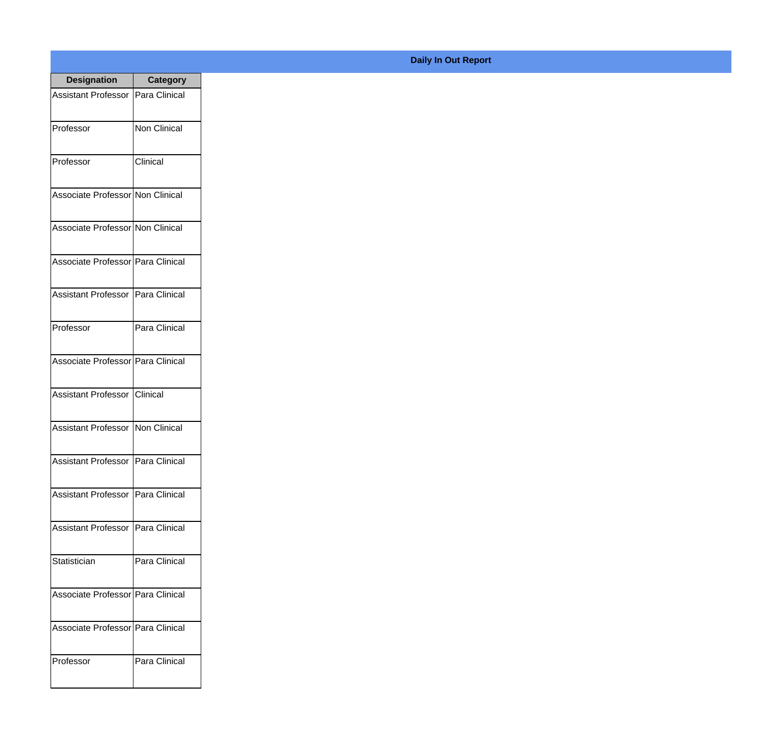| <b>Designation</b>                  | <b>Category</b>     |
|-------------------------------------|---------------------|
| Assistant Professor   Para Clinical |                     |
| Professor                           | <b>Non Clinical</b> |
| Professor                           | Clinical            |
| Associate Professor Non Clinical    |                     |
| Associate Professor Non Clinical    |                     |
| Associate Professor Para Clinical   |                     |
| Assistant Professor   Para Clinical |                     |
| Professor                           | Para Clinical       |
| Associate Professor   Para Clinical |                     |
| Assistant Professor   Clinical      |                     |
| Assistant Professor   Non Clinical  |                     |
| <b>Assistant Professor</b>          | Para Clinical       |
| <b>Assistant Professor</b>          | Para Clinical       |
| <b>Assistant Professor</b>          | Para Clinical       |
| Statistician                        | Para Clinical       |
| Associate Professor   Para Clinical |                     |
| Associate Professor   Para Clinical |                     |
| Professor                           | Para Clinical       |

## **Daily In Out Report**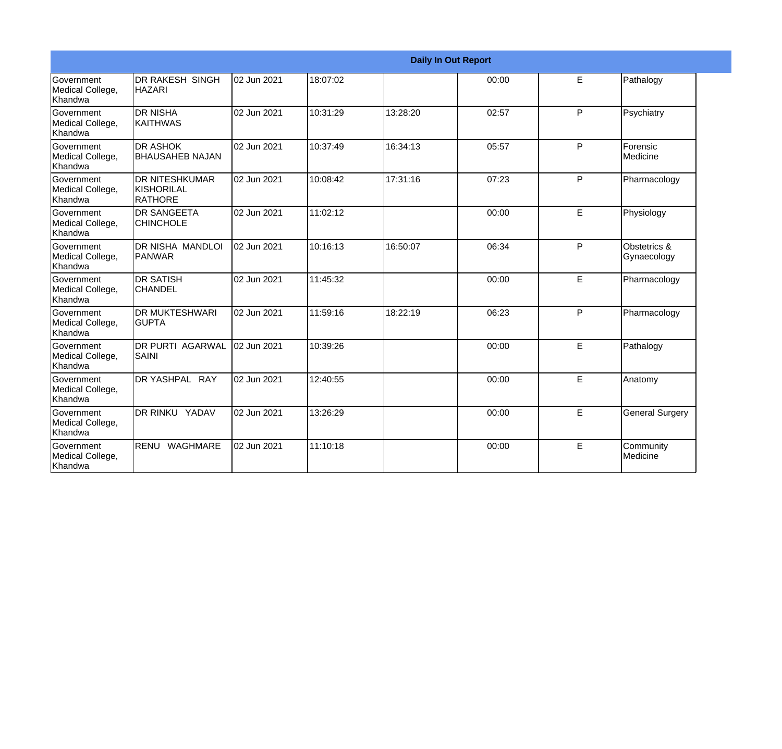|                                                         |                                                 |             |          | <b>Daily In Out Report</b> |       |    |                             |
|---------------------------------------------------------|-------------------------------------------------|-------------|----------|----------------------------|-------|----|-----------------------------|
| Government<br>Medical College,<br>Khandwa               | DR RAKESH SINGH<br><b>HAZARI</b>                | 02 Jun 2021 | 18:07:02 |                            | 00:00 | E  | Pathalogy                   |
| <b>Government</b><br>Medical College,<br><b>Khandwa</b> | IDR NISHA<br><b>KAITHWAS</b>                    | 02 Jun 2021 | 10:31:29 | 13:28:20                   | 02:57 | P  | Psychiatry                  |
| Government<br>Medical College,<br>Khandwa               | <b>DR ASHOK</b><br><b>BHAUSAHEB NAJAN</b>       | 02 Jun 2021 | 10:37:49 | 16:34:13                   | 05:57 | P  | Forensic<br>Medicine        |
| <b>Government</b><br>Medical College,<br><b>Khandwa</b> | <b>DR NITESHKUMAR</b><br>KISHORILAL<br>IRATHORE | 02 Jun 2021 | 10:08:42 | 17:31:16                   | 07:23 | P  | Pharmacology                |
| Government<br>Medical College,<br>Khandwa               | <b>DR SANGEETA</b><br><b>CHINCHOLE</b>          | 02 Jun 2021 | 11:02:12 |                            | 00:00 | E. | Physiology                  |
| Government<br>Medical College,<br>Khandwa               | <b>DR NISHA MANDLOI</b><br><b>PANWAR</b>        | 02 Jun 2021 | 10:16:13 | 16:50:07                   | 06:34 | P  | Obstetrics &<br>Gynaecology |
| Government<br>Medical College,<br>Khandwa               | <b>DR SATISH</b><br><b>CHANDEL</b>              | 02 Jun 2021 | 11:45:32 |                            | 00:00 | E  | Pharmacology                |
| Government<br>Medical College,<br>Khandwa               | <b>DR MUKTESHWARI</b><br><b>GUPTA</b>           | 02 Jun 2021 | 11:59:16 | 18:22:19                   | 06:23 | P  | Pharmacology                |
| Government<br>Medical College,<br>Khandwa               | <b>DR PURTI AGARWAL</b><br><b>SAINI</b>         | 02 Jun 2021 | 10:39:26 |                            | 00:00 | E  | Pathalogy                   |
| Government<br>Medical College,<br>Khandwa               | DR YASHPAL RAY                                  | 02 Jun 2021 | 12:40:55 |                            | 00:00 | E  | Anatomy                     |
| Government<br>Medical College,<br>Khandwa               | DR RINKU YADAV                                  | 02 Jun 2021 | 13:26:29 |                            | 00:00 | E  | <b>General Surgery</b>      |
| Government<br>Medical College,<br>Khandwa               | WAGHMARE<br>RENU                                | 02 Jun 2021 | 11:10:18 |                            | 00:00 | E  | Community<br>Medicine       |